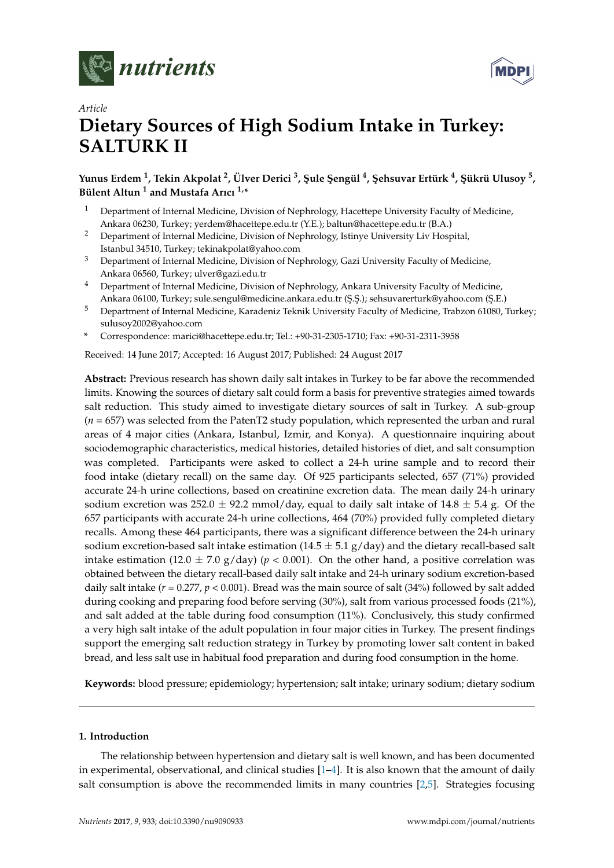



# *Article* **Dietary Sources of High Sodium Intake in Turkey: SALTURK II**

**Yunus Erdem <sup>1</sup> , Tekin Akpolat <sup>2</sup> , Ülver Derici <sup>3</sup> , ¸Sule ¸Sengül <sup>4</sup> , ¸Sehsuvar Ertürk <sup>4</sup> , ¸Sükrü Ulusoy <sup>5</sup> , Bülent Altun <sup>1</sup> and Mustafa Arıcı 1,\***

- <sup>1</sup> Department of Internal Medicine, Division of Nephrology, Hacettepe University Faculty of Medicine, Ankara 06230, Turkey; yerdem@hacettepe.edu.tr (Y.E.); baltun@hacettepe.edu.tr (B.A.)
- <sup>2</sup> Department of Internal Medicine, Division of Nephrology, Istinye University Liv Hospital, Istanbul 34510, Turkey; tekinakpolat@yahoo.com
- <sup>3</sup> Department of Internal Medicine, Division of Nephrology, Gazi University Faculty of Medicine, Ankara 06560, Turkey; ulver@gazi.edu.tr
- <sup>4</sup> Department of Internal Medicine, Division of Nephrology, Ankara University Faculty of Medicine, Ankara 06100, Turkey; sule.sengul@medicine.ankara.edu.tr (\$.\$.); sehsuvarerturk@yahoo.com (\$.E.)
- <sup>5</sup> Department of Internal Medicine, Karadeniz Teknik University Faculty of Medicine, Trabzon 61080, Turkey; sulusoy2002@yahoo.com
- **\*** Correspondence: marici@hacettepe.edu.tr; Tel.: +90-31-2305-1710; Fax: +90-31-2311-3958

Received: 14 June 2017; Accepted: 16 August 2017; Published: 24 August 2017

**Abstract:** Previous research has shown daily salt intakes in Turkey to be far above the recommended limits. Knowing the sources of dietary salt could form a basis for preventive strategies aimed towards salt reduction. This study aimed to investigate dietary sources of salt in Turkey. A sub-group (*n* = 657) was selected from the PatenT2 study population, which represented the urban and rural areas of 4 major cities (Ankara, Istanbul, Izmir, and Konya). A questionnaire inquiring about sociodemographic characteristics, medical histories, detailed histories of diet, and salt consumption was completed. Participants were asked to collect a 24-h urine sample and to record their food intake (dietary recall) on the same day. Of 925 participants selected, 657 (71%) provided accurate 24-h urine collections, based on creatinine excretion data. The mean daily 24-h urinary sodium excretion was 252.0  $\pm$  92.2 mmol/day, equal to daily salt intake of 14.8  $\pm$  5.4 g. Of the 657 participants with accurate 24-h urine collections, 464 (70%) provided fully completed dietary recalls. Among these 464 participants, there was a significant difference between the 24-h urinary sodium excretion-based salt intake estimation ( $14.5 \pm 5.1$  g/day) and the dietary recall-based salt intake estimation (12.0  $\pm$  7.0 g/day) ( $p$  < 0.001). On the other hand, a positive correlation was obtained between the dietary recall-based daily salt intake and 24-h urinary sodium excretion-based daily salt intake (*r* = 0.277, *p* < 0.001). Bread was the main source of salt (34%) followed by salt added during cooking and preparing food before serving (30%), salt from various processed foods (21%), and salt added at the table during food consumption (11%). Conclusively, this study confirmed a very high salt intake of the adult population in four major cities in Turkey. The present findings support the emerging salt reduction strategy in Turkey by promoting lower salt content in baked bread, and less salt use in habitual food preparation and during food consumption in the home.

**Keywords:** blood pressure; epidemiology; hypertension; salt intake; urinary sodium; dietary sodium

### **1. Introduction**

The relationship between hypertension and dietary salt is well known, and has been documented in experimental, observational, and clinical studies [\[1](#page-8-0)[–4\]](#page-8-1). It is also known that the amount of daily salt consumption is above the recommended limits in many countries [\[2](#page-8-2)[,5\]](#page-8-3). Strategies focusing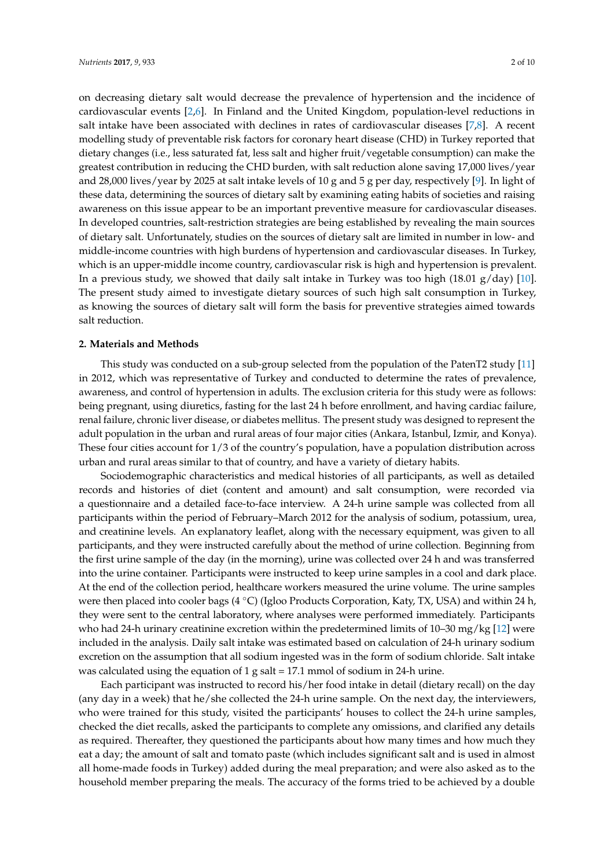on decreasing dietary salt would decrease the prevalence of hypertension and the incidence of cardiovascular events [\[2,](#page-8-2)[6\]](#page-8-4). In Finland and the United Kingdom, population-level reductions in salt intake have been associated with declines in rates of cardiovascular diseases [\[7,](#page-8-5)[8\]](#page-8-6). A recent modelling study of preventable risk factors for coronary heart disease (CHD) in Turkey reported that dietary changes (i.e., less saturated fat, less salt and higher fruit/vegetable consumption) can make the greatest contribution in reducing the CHD burden, with salt reduction alone saving 17,000 lives/year and 28,000 lives/year by 2025 at salt intake levels of 10 g and 5 g per day, respectively [\[9\]](#page-8-7). In light of these data, determining the sources of dietary salt by examining eating habits of societies and raising awareness on this issue appear to be an important preventive measure for cardiovascular diseases. In developed countries, salt-restriction strategies are being established by revealing the main sources of dietary salt. Unfortunately, studies on the sources of dietary salt are limited in number in low- and middle-income countries with high burdens of hypertension and cardiovascular diseases. In Turkey, which is an upper-middle income country, cardiovascular risk is high and hypertension is prevalent. In a previous study, we showed that daily salt intake in Turkey was too high  $(18.01 \text{ g/day})$  [\[10\]](#page-8-8). The present study aimed to investigate dietary sources of such high salt consumption in Turkey, as knowing the sources of dietary salt will form the basis for preventive strategies aimed towards salt reduction.

### **2. Materials and Methods**

This study was conducted on a sub-group selected from the population of the PatenT2 study [\[11\]](#page-8-9) in 2012, which was representative of Turkey and conducted to determine the rates of prevalence, awareness, and control of hypertension in adults. The exclusion criteria for this study were as follows: being pregnant, using diuretics, fasting for the last 24 h before enrollment, and having cardiac failure, renal failure, chronic liver disease, or diabetes mellitus. The present study was designed to represent the adult population in the urban and rural areas of four major cities (Ankara, Istanbul, Izmir, and Konya). These four cities account for 1/3 of the country's population, have a population distribution across urban and rural areas similar to that of country, and have a variety of dietary habits.

Sociodemographic characteristics and medical histories of all participants, as well as detailed records and histories of diet (content and amount) and salt consumption, were recorded via a questionnaire and a detailed face-to-face interview. A 24-h urine sample was collected from all participants within the period of February–March 2012 for the analysis of sodium, potassium, urea, and creatinine levels. An explanatory leaflet, along with the necessary equipment, was given to all participants, and they were instructed carefully about the method of urine collection. Beginning from the first urine sample of the day (in the morning), urine was collected over 24 h and was transferred into the urine container. Participants were instructed to keep urine samples in a cool and dark place. At the end of the collection period, healthcare workers measured the urine volume. The urine samples were then placed into cooler bags (4 ◦C) (Igloo Products Corporation, Katy, TX, USA) and within 24 h, they were sent to the central laboratory, where analyses were performed immediately. Participants who had 24-h urinary creatinine excretion within the predetermined limits of 10–30 mg/kg [\[12\]](#page-8-10) were included in the analysis. Daily salt intake was estimated based on calculation of 24-h urinary sodium excretion on the assumption that all sodium ingested was in the form of sodium chloride. Salt intake was calculated using the equation of 1 g salt = 17.1 mmol of sodium in 24-h urine.

Each participant was instructed to record his/her food intake in detail (dietary recall) on the day (any day in a week) that he/she collected the 24-h urine sample. On the next day, the interviewers, who were trained for this study, visited the participants' houses to collect the 24-h urine samples, checked the diet recalls, asked the participants to complete any omissions, and clarified any details as required. Thereafter, they questioned the participants about how many times and how much they eat a day; the amount of salt and tomato paste (which includes significant salt and is used in almost all home-made foods in Turkey) added during the meal preparation; and were also asked as to the household member preparing the meals. The accuracy of the forms tried to be achieved by a double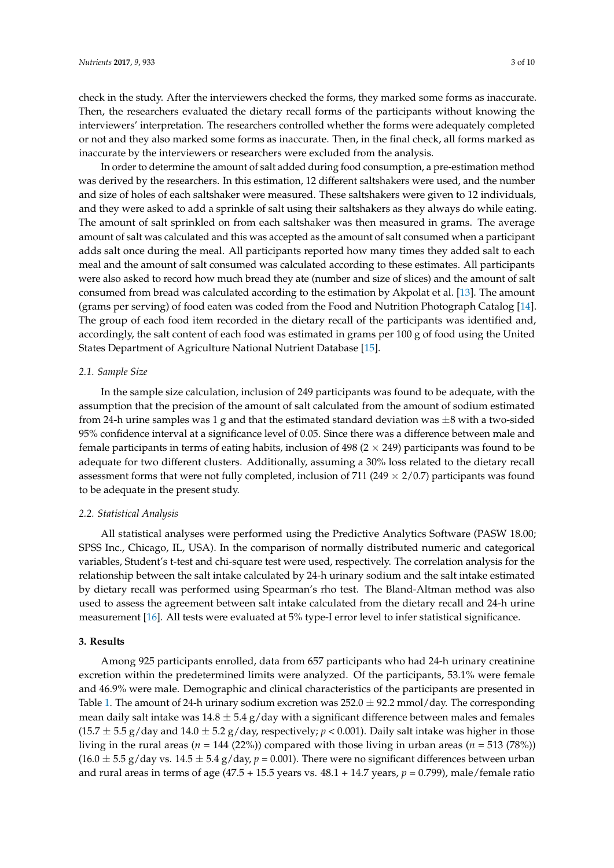check in the study. After the interviewers checked the forms, they marked some forms as inaccurate. Then, the researchers evaluated the dietary recall forms of the participants without knowing the interviewers' interpretation. The researchers controlled whether the forms were adequately completed or not and they also marked some forms as inaccurate. Then, in the final check, all forms marked as inaccurate by the interviewers or researchers were excluded from the analysis.

In order to determine the amount of salt added during food consumption, a pre-estimation method was derived by the researchers. In this estimation, 12 different saltshakers were used, and the number and size of holes of each saltshaker were measured. These saltshakers were given to 12 individuals, and they were asked to add a sprinkle of salt using their saltshakers as they always do while eating. The amount of salt sprinkled on from each saltshaker was then measured in grams. The average amount of salt was calculated and this was accepted as the amount of salt consumed when a participant adds salt once during the meal. All participants reported how many times they added salt to each meal and the amount of salt consumed was calculated according to these estimates. All participants were also asked to record how much bread they ate (number and size of slices) and the amount of salt consumed from bread was calculated according to the estimation by Akpolat et al. [\[13\]](#page-8-11). The amount (grams per serving) of food eaten was coded from the Food and Nutrition Photograph Catalog [\[14\]](#page-8-12). The group of each food item recorded in the dietary recall of the participants was identified and, accordingly, the salt content of each food was estimated in grams per 100 g of food using the United States Department of Agriculture National Nutrient Database [\[15\]](#page-8-13).

## *2.1. Sample Size*

In the sample size calculation, inclusion of 249 participants was found to be adequate, with the assumption that the precision of the amount of salt calculated from the amount of sodium estimated from 24-h urine samples was 1 g and that the estimated standard deviation was  $\pm 8$  with a two-sided 95% confidence interval at a significance level of 0.05. Since there was a difference between male and female participants in terms of eating habits, inclusion of 498 ( $2 \times 249$ ) participants was found to be adequate for two different clusters. Additionally, assuming a 30% loss related to the dietary recall assessment forms that were not fully completed, inclusion of 711 (249  $\times$  2/0.7) participants was found to be adequate in the present study.

# *2.2. Statistical Analysis*

All statistical analyses were performed using the Predictive Analytics Software (PASW 18.00; SPSS Inc., Chicago, IL, USA). In the comparison of normally distributed numeric and categorical variables, Student's t-test and chi-square test were used, respectively. The correlation analysis for the relationship between the salt intake calculated by 24-h urinary sodium and the salt intake estimated by dietary recall was performed using Spearman's rho test. The Bland-Altman method was also used to assess the agreement between salt intake calculated from the dietary recall and 24-h urine measurement [\[16\]](#page-8-14). All tests were evaluated at 5% type-I error level to infer statistical significance.

### **3. Results**

Among 925 participants enrolled, data from 657 participants who had 24-h urinary creatinine excretion within the predetermined limits were analyzed. Of the participants, 53.1% were female and 46.9% were male. Demographic and clinical characteristics of the participants are presented in Table [1.](#page-3-0) The amount of 24-h urinary sodium excretion was  $252.0 \pm 92.2$  mmol/day. The corresponding mean daily salt intake was  $14.8 \pm 5.4$  g/day with a significant difference between males and females  $(15.7 \pm 5.5 \text{ g/day}$  and  $14.0 \pm 5.2 \text{ g/day}$ , respectively;  $p < 0.001$ ). Daily salt intake was higher in those living in the rural areas (*n* = 144 (22%)) compared with those living in urban areas (*n* = 513 (78%))  $(16.0 \pm 5.5 \text{ g/day vs. } 14.5 \pm 5.4 \text{ g/day}, p = 0.001)$ . There were no significant differences between urban and rural areas in terms of age (47.5 + 15.5 years vs. 48.1 + 14.7 years, *p* = 0.799), male/female ratio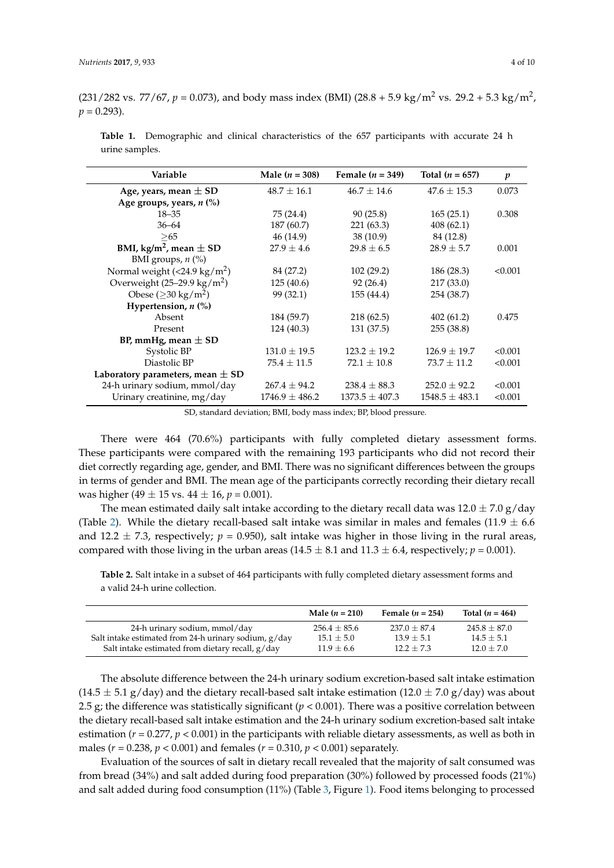(231/282 vs. 77/67,  $p = 0.073$ ), and body mass index (BMI) (28.8 + 5.9 kg/m<sup>2</sup> vs. 29.2 + 5.3 kg/m<sup>2</sup>,  $p = 0.293$ .

| Variable                               | Male $(n = 308)$   | Female $(n = 349)$ | Total $(n = 657)$  | $\boldsymbol{p}$ |
|----------------------------------------|--------------------|--------------------|--------------------|------------------|
| Age, years, mean $\pm$ SD              | $48.7 \pm 16.1$    | $46.7 \pm 14.6$    | $47.6 \pm 15.3$    | 0.073            |
| Age groups, years, n (%)               |                    |                    |                    |                  |
| $18 - 35$                              | 75 (24.4)          | 90(25.8)           | 165(25.1)          | 0.308            |
| $36 - 64$                              | 187 (60.7)         | 221(63.3)          | 408(62.1)          |                  |
| > 65                                   | 46 (14.9)          | 38(10.9)           | 84 (12.8)          |                  |
| BMI, kg/m <sup>2</sup> , mean $\pm$ SD | $27.9 \pm 4.6$     | $29.8 \pm 6.5$     | $28.9 \pm 5.7$     | 0.001            |
| BMI groups, $n$ (%)                    |                    |                    |                    |                  |
| Normal weight $(<24.9 \text{ kg/m}^2)$ | 84 (27.2)          | 102(29.2)          | 186 (28.3)         | < 0.001          |
| Overweight $(25-29.9 \text{ kg/m}^2)$  | 125(40.6)          | 92(26.4)           | 217 (33.0)         |                  |
| Obese ( $\geq$ 30 kg/m <sup>2</sup> )  | 99 (32.1)          | 155 (44.4)         | 254 (38.7)         |                  |
| Hypertension, $n$ (%)                  |                    |                    |                    |                  |
| Absent                                 | 184 (59.7)         | 218(62.5)          | 402(61.2)          | 0.475            |
| Present                                | 124 (40.3)         | 131 (37.5)         | 255 (38.8)         |                  |
| BP, mmHg, mean $\pm$ SD                |                    |                    |                    |                  |
| Systolic BP                            | $131.0 \pm 19.5$   | $123.2 + 19.2$     | $126.9 \pm 19.7$   | < 0.001          |
| Diastolic BP                           | $75.4 \pm 11.5$    | $72.1 \pm 10.8$    | $73.7 \pm 11.2$    | < 0.001          |
| Laboratory parameters, mean $\pm$ SD   |                    |                    |                    |                  |
| 24-h urinary sodium, mmol/day          | $267.4 \pm 94.2$   | $238.4 \pm 88.3$   | $252.0 \pm 92.2$   | < 0.001          |
| Urinary creatinine, mg/day             | $1746.9 \pm 486.2$ | $1373.5 \pm 407.3$ | $1548.5 \pm 483.1$ | < 0.001          |

<span id="page-3-0"></span>**Table 1.** Demographic and clinical characteristics of the 657 participants with accurate 24 h urine samples.

SD, standard deviation; BMI, body mass index; BP, blood pressure.

There were 464 (70.6%) participants with fully completed dietary assessment forms. These participants were compared with the remaining 193 participants who did not record their diet correctly regarding age, gender, and BMI. There was no significant differences between the groups in terms of gender and BMI. The mean age of the participants correctly recording their dietary recall was higher (49  $\pm$  15 vs. 44  $\pm$  16, *p* = 0.001).

The mean estimated daily salt intake according to the dietary recall data was  $12.0 \pm 7.0$  g/day (Table [2\)](#page-3-1). While the dietary recall-based salt intake was similar in males and females (11.9  $\pm$  6.6 and 12.2  $\pm$  7.3, respectively;  $p = 0.950$ ), salt intake was higher in those living in the rural areas, compared with those living in the urban areas (14.5  $\pm$  8.1 and 11.3  $\pm$  6.4, respectively; *p* = 0.001).

<span id="page-3-1"></span>**Table 2.** Salt intake in a subset of 464 participants with fully completed dietary assessment forms and a valid 24-h urine collection.

|                                                         | Male $(n = 210)$ | Female $(n = 254)$ | Total $(n = 464)$ |
|---------------------------------------------------------|------------------|--------------------|-------------------|
| 24-h urinary sodium, mmol/day                           | $256.4 \pm 85.6$ | $237.0 + 87.4$     | $245.8 + 87.0$    |
| Salt intake estimated from 24-h urinary sodium, $g/day$ | $15.1 \pm 5.0$   | $13.9 + 5.1$       | $14.5 + 5.1$      |
| Salt intake estimated from dietary recall, g/day        | $11.9 + 6.6$     | $12.2 + 7.3$       | $12.0 + 7.0$      |

The absolute difference between the 24-h urinary sodium excretion-based salt intake estimation  $(14.5 \pm 5.1 \text{ g/day})$  and the dietary recall-based salt intake estimation  $(12.0 \pm 7.0 \text{ g/day})$  was about 2.5 g; the difference was statistically significant  $(p < 0.001)$ . There was a positive correlation between the dietary recall-based salt intake estimation and the 24-h urinary sodium excretion-based salt intake estimation  $(r = 0.277, p < 0.001)$  in the participants with reliable dietary assessments, as well as both in males (*r* = 0.238, *p* < 0.001) and females (*r* = 0.310, *p* < 0.001) separately.

Evaluation of the sources of salt in dietary recall revealed that the majority of salt consumed was from bread (34%) and salt added during food preparation (30%) followed by processed foods (21%) and salt added during food consumption (11%) (Table [3,](#page-4-0) Figure [1\)](#page-4-1). Food items belonging to processed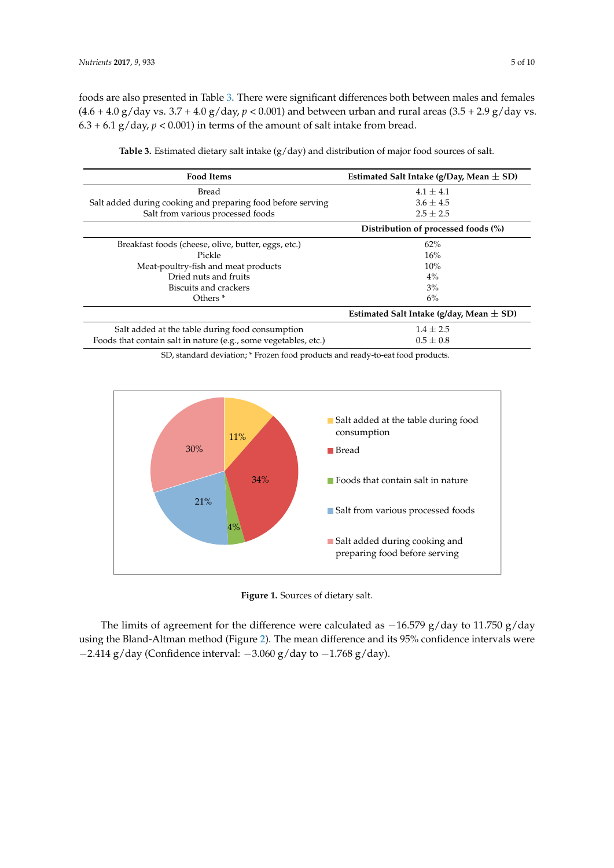foods are also presented in Table [3.](#page-4-0) There were significant differences both between males and females (4.6 + 4.0 g/day vs. 3.7 + 4.0 g/day,  $p < 0.001$ ) and between urban and rural areas (3.5 + 2.9 g/day vs.  $6.3 + 6.1$  g/day,  $p < 0.001$ ) in terms of the amount of salt intake from bread.

<span id="page-4-0"></span>

| <b>Food Items</b>                                               | Estimated Salt Intake (g/Day, Mean $\pm$ SD) |
|-----------------------------------------------------------------|----------------------------------------------|
| Bread                                                           | $4.1 + 4.1$                                  |
| Salt added during cooking and preparing food before serving     | $3.6 \pm 4.5$                                |
| Salt from various processed foods                               | $2.5 \pm 2.5$                                |
|                                                                 | Distribution of processed foods (%)          |
| Breakfast foods (cheese, olive, butter, eggs, etc.)             | 62%                                          |
| Pickle                                                          | 16%                                          |
| Meat-poultry-fish and meat products                             | 10%                                          |
| Dried nuts and fruits                                           | 4%                                           |
| Biscuits and crackers                                           | 3%                                           |
| Others $*$                                                      | 6%                                           |
|                                                                 | Estimated Salt Intake (g/day, Mean $\pm$ SD) |
| Salt added at the table during food consumption                 | $1.4 \pm 2.5$                                |
| Foods that contain salt in nature (e.g., some vegetables, etc.) | $0.5 \pm 0.8$                                |

**Table 3.** Estimated dietary salt intake (g/day) and distribution of major food sources of salt.

SD, standard deviation;  $^*$  Frozen food products and ready-to-eat food products.

<span id="page-4-1"></span>

**Figure 1.** Sources of dietary salt. **Figure 1.** Sources of dietary salt.

The limits of agreement for the difference were calculated as  $-16.579$  g/day to 11.750 g/day using the Bland-Altman method (Figure [2\)](#page-5-0). The mean difference and its 95% confidence intervals were −2.414 g/day (Confidence interval: −3.060 g/day to −1.768 g/day).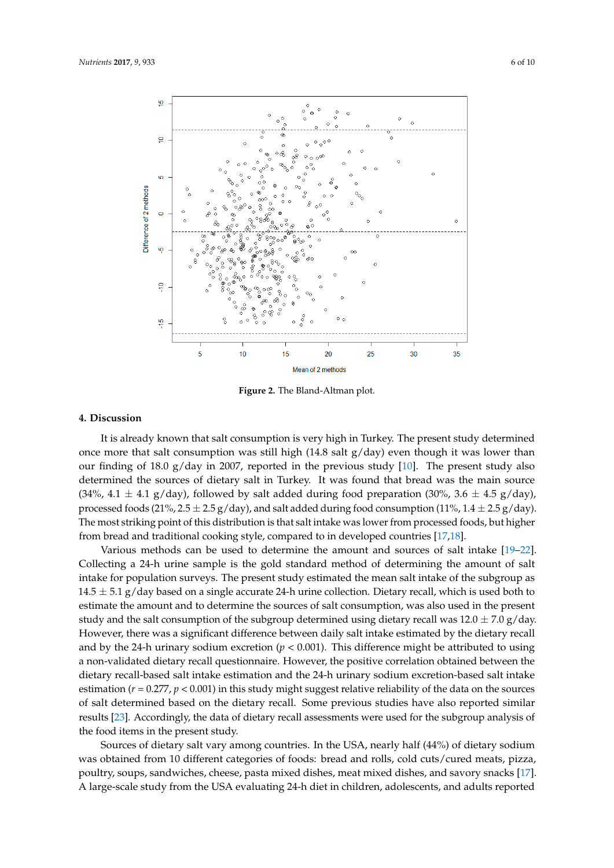<span id="page-5-0"></span>

**Figure 2.** The Bland-Altman plot. **Figure 2.** The Bland-Altman plot.

# **4. Discussion 4. Discussion**

It is already known that salt consumption is very high in Turkey. The present study determined It is already known that salt consumption is very high in Turkey. The present study determined once more that salt consumption was still high (14.8 salt g/day) even though it was lower than our finding of 18.0 g/day in 2007, reported in the previous study  $[10]$ . The present study also determined the sources of dietary salt in Turkey. It was found that bread was the main source (34%, 4.1  $\pm$  4.1 g/day), followed by salt added during food preparation (30%, 3.6  $\pm$  4.5 g/day), processed foods (21%, 2.5  $\pm$  2.5 g/day), and salt added during food consumption (11%, 1.4  $\pm$  2.5 g/day). The most striking point of this distribution is that salt intake was lower from processed foods, but higher and traditional cooking style, compared to in developed countries [17,18]. from bread and traditional cooking style, compared to in developed countries [\[17](#page-8-15)[,18\]](#page-8-16).

Various methods can be used to determine the amount and sources of salt intake [19–22]. Various methods can be used to determine the amount and sources of salt intake [\[19–](#page-8-17)[22\]](#page-9-0). Collecting a 24-h urine sample is the gold standard method of determining the amount of salt intake for population surveys. The present study estimated the mean salt intake of the subgroup as  $14.5 \pm 5.1$  g/day based on a single accurate 24-h urine collection. Dietary recall, which is used both to estimate the amount and to determine the sources of salt consumption, was also used in the present estimate the amount and to determine the sources of salt consumption, was also used in the present study and the salt consumption of the subgroup determined using dietary recall was  $12.0 \pm 7.0$  g/day. However, there was a significant difference between daily salt intake estimated by the dietary recall However, there was a significant difference between daily salt intake estimated by the dietary recall and by the 24-h urinary sodium excretion ( $p < 0.001$ ). This difference might be attributed to using non-validated dietary recall questionnaire. However, the positive correlation obtained between the a non-validated dietary recall questionnaire. However, the positive correlation obtained between the dietary recall-based salt intake estimation and the 24-h urinary sodium excretion-based salt intake dietary recall-based salt intake estimation and the 24-h urinary sodium excretion-based salt intake estimation ( $r$  = 0.277,  $p$  < 0.001) in this study might suggest relative reliability of the data on the sources of salt determined based on the dietary recall. Some previous studies have also reported similar of salt determined based on the dietary recall. Some previous studies have also reported similar results [23]. Accordingly, the data of dietary recall assessments were used for the subgroup analysis results [\[23\]](#page-9-1). Accordingly, the data of dietary recall assessments were used for the subgroup analysis of the food items in the present study.

Sources of dietary salt vary among countries. In the USA, nearly half (44%) of dietary sodium Sources of dietary salt vary among countries. In the USA, nearly half (44%) of dietary sodium was obtained from 10 different categories of foods: bread and rolls, cold cuts/cured meats, pizza, was obtained from 10 different categories of foods: bread and rolls, cold cuts/cured meats, pizza, poultry, soups, sandwiches, cheese, pasta mixed dishes, meat mixed dishes, and savory snacks [17]. poultry, soups, sandwiches, cheese, pasta mixed dishes, meat mixed dishes, and savory snacks [\[17\]](#page-8-15). A large-scale study from the USA evaluating 24-h diet in children, adolescents, and adults reported A large-scale study from the USA evaluating 24-h diet in children, adolescents, and adults reported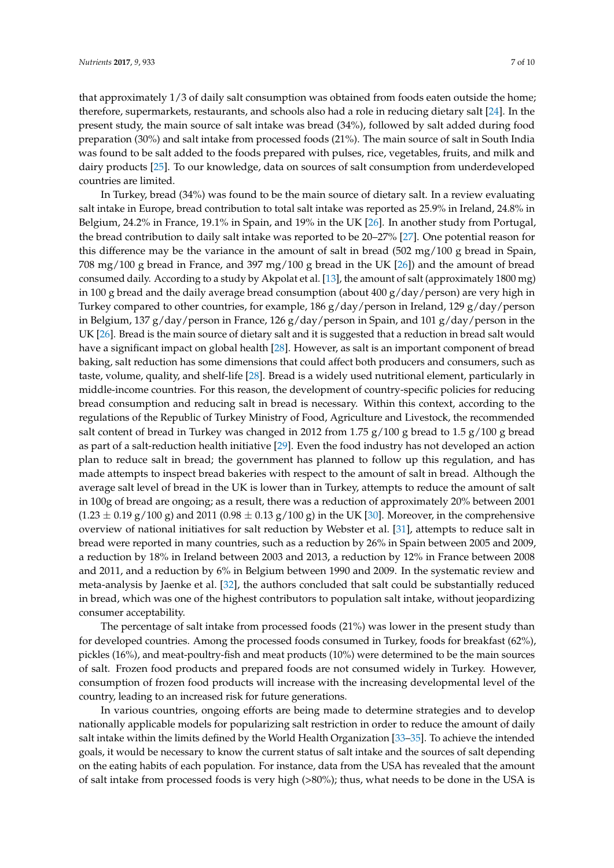that approximately 1/3 of daily salt consumption was obtained from foods eaten outside the home; therefore, supermarkets, restaurants, and schools also had a role in reducing dietary salt [\[24\]](#page-9-2). In the present study, the main source of salt intake was bread (34%), followed by salt added during food preparation (30%) and salt intake from processed foods (21%). The main source of salt in South India was found to be salt added to the foods prepared with pulses, rice, vegetables, fruits, and milk and dairy products [\[25\]](#page-9-3). To our knowledge, data on sources of salt consumption from underdeveloped countries are limited.

In Turkey, bread (34%) was found to be the main source of dietary salt. In a review evaluating salt intake in Europe, bread contribution to total salt intake was reported as 25.9% in Ireland, 24.8% in Belgium, 24.2% in France, 19.1% in Spain, and 19% in the UK [\[26\]](#page-9-4). In another study from Portugal, the bread contribution to daily salt intake was reported to be 20–27% [\[27\]](#page-9-5). One potential reason for this difference may be the variance in the amount of salt in bread (502 mg/100 g bread in Spain, 708 mg/100 g bread in France, and 397 mg/100 g bread in the UK [\[26\]](#page-9-4)) and the amount of bread consumed daily. According to a study by Akpolat et al. [\[13\]](#page-8-11), the amount of salt (approximately 1800 mg) in 100 g bread and the daily average bread consumption (about 400 g/day/person) are very high in Turkey compared to other countries, for example, 186 g/day/person in Ireland, 129 g/day/person in Belgium, 137 g/day/person in France, 126 g/day/person in Spain, and 101 g/day/person in the UK [\[26\]](#page-9-4). Bread is the main source of dietary salt and it is suggested that a reduction in bread salt would have a significant impact on global health [\[28\]](#page-9-6). However, as salt is an important component of bread baking, salt reduction has some dimensions that could affect both producers and consumers, such as taste, volume, quality, and shelf-life [\[28\]](#page-9-6). Bread is a widely used nutritional element, particularly in middle-income countries. For this reason, the development of country-specific policies for reducing bread consumption and reducing salt in bread is necessary. Within this context, according to the regulations of the Republic of Turkey Ministry of Food, Agriculture and Livestock, the recommended salt content of bread in Turkey was changed in 2012 from 1.75  $g/100 g$  bread to 1.5  $g/100 g$  bread as part of a salt-reduction health initiative [\[29\]](#page-9-7). Even the food industry has not developed an action plan to reduce salt in bread; the government has planned to follow up this regulation, and has made attempts to inspect bread bakeries with respect to the amount of salt in bread. Although the average salt level of bread in the UK is lower than in Turkey, attempts to reduce the amount of salt in 100g of bread are ongoing; as a result, there was a reduction of approximately 20% between 2001  $(1.23 \pm 0.19 \text{ g}/100 \text{ g})$  and 2011  $(0.98 \pm 0.13 \text{ g}/100 \text{ g})$  in the UK [\[30\]](#page-9-8). Moreover, in the comprehensive overview of national initiatives for salt reduction by Webster et al. [\[31\]](#page-9-9), attempts to reduce salt in bread were reported in many countries, such as a reduction by 26% in Spain between 2005 and 2009, a reduction by 18% in Ireland between 2003 and 2013, a reduction by 12% in France between 2008 and 2011, and a reduction by 6% in Belgium between 1990 and 2009. In the systematic review and meta-analysis by Jaenke et al. [\[32\]](#page-9-10), the authors concluded that salt could be substantially reduced in bread, which was one of the highest contributors to population salt intake, without jeopardizing consumer acceptability.

The percentage of salt intake from processed foods (21%) was lower in the present study than for developed countries. Among the processed foods consumed in Turkey, foods for breakfast (62%), pickles (16%), and meat-poultry-fish and meat products (10%) were determined to be the main sources of salt. Frozen food products and prepared foods are not consumed widely in Turkey. However, consumption of frozen food products will increase with the increasing developmental level of the country, leading to an increased risk for future generations.

In various countries, ongoing efforts are being made to determine strategies and to develop nationally applicable models for popularizing salt restriction in order to reduce the amount of daily salt intake within the limits defined by the World Health Organization [\[33](#page-9-11)[–35\]](#page-9-12). To achieve the intended goals, it would be necessary to know the current status of salt intake and the sources of salt depending on the eating habits of each population. For instance, data from the USA has revealed that the amount of salt intake from processed foods is very high (>80%); thus, what needs to be done in the USA is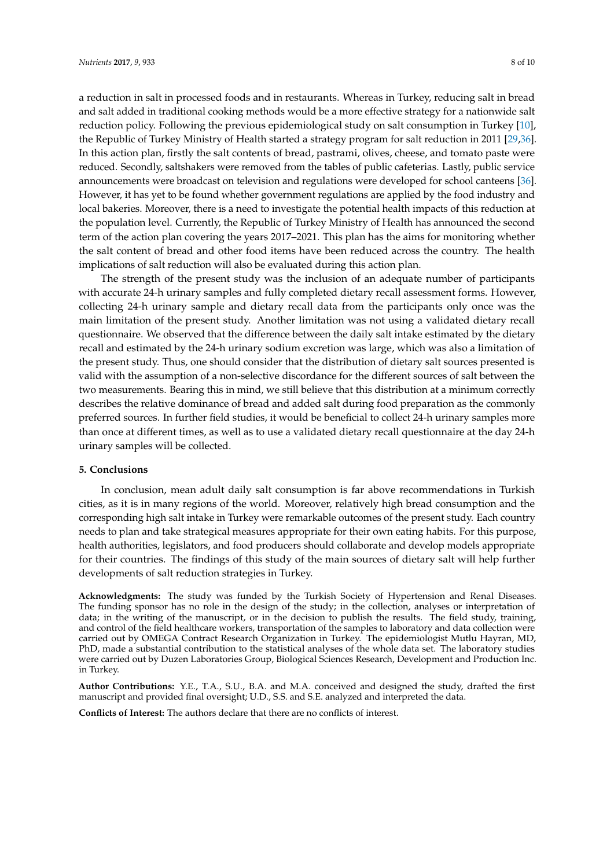a reduction in salt in processed foods and in restaurants. Whereas in Turkey, reducing salt in bread and salt added in traditional cooking methods would be a more effective strategy for a nationwide salt reduction policy. Following the previous epidemiological study on salt consumption in Turkey [\[10\]](#page-8-8), the Republic of Turkey Ministry of Health started a strategy program for salt reduction in 2011 [\[29](#page-9-7)[,36\]](#page-9-13). In this action plan, firstly the salt contents of bread, pastrami, olives, cheese, and tomato paste were reduced. Secondly, saltshakers were removed from the tables of public cafeterias. Lastly, public service announcements were broadcast on television and regulations were developed for school canteens [\[36\]](#page-9-13). However, it has yet to be found whether government regulations are applied by the food industry and local bakeries. Moreover, there is a need to investigate the potential health impacts of this reduction at the population level. Currently, the Republic of Turkey Ministry of Health has announced the second term of the action plan covering the years 2017–2021. This plan has the aims for monitoring whether the salt content of bread and other food items have been reduced across the country. The health implications of salt reduction will also be evaluated during this action plan.

The strength of the present study was the inclusion of an adequate number of participants with accurate 24-h urinary samples and fully completed dietary recall assessment forms. However, collecting 24-h urinary sample and dietary recall data from the participants only once was the main limitation of the present study. Another limitation was not using a validated dietary recall questionnaire. We observed that the difference between the daily salt intake estimated by the dietary recall and estimated by the 24-h urinary sodium excretion was large, which was also a limitation of the present study. Thus, one should consider that the distribution of dietary salt sources presented is valid with the assumption of a non-selective discordance for the different sources of salt between the two measurements. Bearing this in mind, we still believe that this distribution at a minimum correctly describes the relative dominance of bread and added salt during food preparation as the commonly preferred sources. In further field studies, it would be beneficial to collect 24-h urinary samples more than once at different times, as well as to use a validated dietary recall questionnaire at the day 24-h urinary samples will be collected.

### **5. Conclusions**

In conclusion, mean adult daily salt consumption is far above recommendations in Turkish cities, as it is in many regions of the world. Moreover, relatively high bread consumption and the corresponding high salt intake in Turkey were remarkable outcomes of the present study. Each country needs to plan and take strategical measures appropriate for their own eating habits. For this purpose, health authorities, legislators, and food producers should collaborate and develop models appropriate for their countries. The findings of this study of the main sources of dietary salt will help further developments of salt reduction strategies in Turkey.

**Acknowledgments:** The study was funded by the Turkish Society of Hypertension and Renal Diseases. The funding sponsor has no role in the design of the study; in the collection, analyses or interpretation of data; in the writing of the manuscript, or in the decision to publish the results. The field study, training, and control of the field healthcare workers, transportation of the samples to laboratory and data collection were carried out by OMEGA Contract Research Organization in Turkey. The epidemiologist Mutlu Hayran, MD, PhD, made a substantial contribution to the statistical analyses of the whole data set. The laboratory studies were carried out by Duzen Laboratories Group, Biological Sciences Research, Development and Production Inc. in Turkey.

**Author Contributions:** Y.E., T.A., S.U., B.A. and M.A. conceived and designed the study, drafted the first manuscript and provided final oversight; U.D., S.S. and S.E. analyzed and interpreted the data.

**Conflicts of Interest:** The authors declare that there are no conflicts of interest.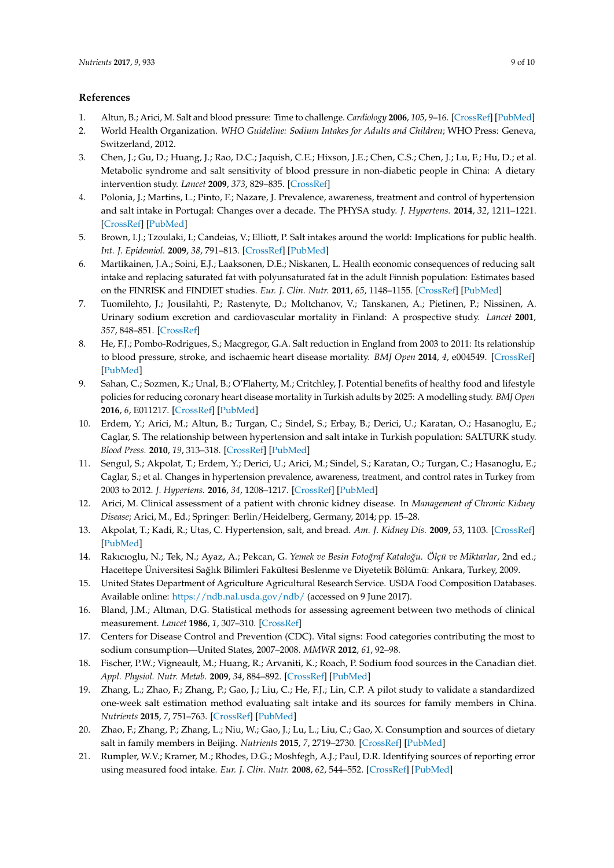# **References**

- <span id="page-8-0"></span>1. Altun, B.; Arici, M. Salt and blood pressure: Time to challenge. *Cardiology* **2006**, *105*, 9–16. [\[CrossRef\]](http://dx.doi.org/10.1159/000088265) [\[PubMed\]](http://www.ncbi.nlm.nih.gov/pubmed/16166773)
- <span id="page-8-2"></span>2. World Health Organization. *WHO Guideline: Sodium Intakes for Adults and Children*; WHO Press: Geneva, Switzerland, 2012.
- 3. Chen, J.; Gu, D.; Huang, J.; Rao, D.C.; Jaquish, C.E.; Hixson, J.E.; Chen, C.S.; Chen, J.; Lu, F.; Hu, D.; et al. Metabolic syndrome and salt sensitivity of blood pressure in non-diabetic people in China: A dietary intervention study. *Lancet* **2009**, *373*, 829–835. [\[CrossRef\]](http://dx.doi.org/10.1016/S0140-6736(09)60144-6)
- <span id="page-8-1"></span>4. Polonia, J.; Martins, L.; Pinto, F.; Nazare, J. Prevalence, awareness, treatment and control of hypertension and salt intake in Portugal: Changes over a decade. The PHYSA study. *J. Hypertens.* **2014**, *32*, 1211–1221. [\[CrossRef\]](http://dx.doi.org/10.1097/HJH.0000000000000162) [\[PubMed\]](http://www.ncbi.nlm.nih.gov/pubmed/24675681)
- <span id="page-8-3"></span>5. Brown, I.J.; Tzoulaki, I.; Candeias, V.; Elliott, P. Salt intakes around the world: Implications for public health. *Int. J. Epidemiol.* **2009**, *38*, 791–813. [\[CrossRef\]](http://dx.doi.org/10.1093/ije/dyp139) [\[PubMed\]](http://www.ncbi.nlm.nih.gov/pubmed/19351697)
- <span id="page-8-4"></span>6. Martikainen, J.A.; Soini, E.J.; Laaksonen, D.E.; Niskanen, L. Health economic consequences of reducing salt intake and replacing saturated fat with polyunsaturated fat in the adult Finnish population: Estimates based on the FINRISK and FINDIET studies. *Eur. J. Clin. Nutr.* **2011**, *65*, 1148–1155. [\[CrossRef\]](http://dx.doi.org/10.1038/ejcn.2011.78) [\[PubMed\]](http://www.ncbi.nlm.nih.gov/pubmed/21587284)
- <span id="page-8-5"></span>7. Tuomilehto, J.; Jousilahti, P.; Rastenyte, D.; Moltchanov, V.; Tanskanen, A.; Pietinen, P.; Nissinen, A. Urinary sodium excretion and cardiovascular mortality in Finland: A prospective study. *Lancet* **2001**, *357*, 848–851. [\[CrossRef\]](http://dx.doi.org/10.1016/S0140-6736(00)04199-4)
- <span id="page-8-6"></span>8. He, F.J.; Pombo-Rodrigues, S.; Macgregor, G.A. Salt reduction in England from 2003 to 2011: Its relationship to blood pressure, stroke, and ischaemic heart disease mortality. *BMJ Open* **2014**, *4*, e004549. [\[CrossRef\]](http://dx.doi.org/10.1136/bmjopen-2013-004549) [\[PubMed\]](http://www.ncbi.nlm.nih.gov/pubmed/24732242)
- <span id="page-8-7"></span>9. Sahan, C.; Sozmen, K.; Unal, B.; O'Flaherty, M.; Critchley, J. Potential benefits of healthy food and lifestyle policies for reducing coronary heart disease mortality in Turkish adults by 2025: A modelling study. *BMJ Open* **2016**, *6*, E011217. [\[CrossRef\]](http://dx.doi.org/10.1136/bmjopen-2016-011217) [\[PubMed\]](http://www.ncbi.nlm.nih.gov/pubmed/27388358)
- <span id="page-8-8"></span>10. Erdem, Y.; Arici, M.; Altun, B.; Turgan, C.; Sindel, S.; Erbay, B.; Derici, U.; Karatan, O.; Hasanoglu, E.; Caglar, S. The relationship between hypertension and salt intake in Turkish population: SALTURK study. *Blood Press.* **2010**, *19*, 313–318. [\[CrossRef\]](http://dx.doi.org/10.3109/08037051003802541) [\[PubMed\]](http://www.ncbi.nlm.nih.gov/pubmed/20698734)
- <span id="page-8-9"></span>11. Sengul, S.; Akpolat, T.; Erdem, Y.; Derici, U.; Arici, M.; Sindel, S.; Karatan, O.; Turgan, C.; Hasanoglu, E.; Caglar, S.; et al. Changes in hypertension prevalence, awareness, treatment, and control rates in Turkey from 2003 to 2012. *J. Hypertens.* **2016**, *34*, 1208–1217. [\[CrossRef\]](http://dx.doi.org/10.1097/HJH.0000000000000901) [\[PubMed\]](http://www.ncbi.nlm.nih.gov/pubmed/26991534)
- <span id="page-8-10"></span>12. Arici, M. Clinical assessment of a patient with chronic kidney disease. In *Management of Chronic Kidney Disease*; Arici, M., Ed.; Springer: Berlin/Heidelberg, Germany, 2014; pp. 15–28.
- <span id="page-8-11"></span>13. Akpolat, T.; Kadi, R.; Utas, C. Hypertension, salt, and bread. *Am. J. Kidney Dis.* **2009**, *53*, 1103. [\[CrossRef\]](http://dx.doi.org/10.1053/j.ajkd.2009.03.005) [\[PubMed\]](http://www.ncbi.nlm.nih.gov/pubmed/19463766)
- <span id="page-8-12"></span>14. Rakıcıoglu, N.; Tek, N.; Ayaz, A.; Pekcan, G. *Yemek ve Besin Foto˘graf Katalo˘gu. Ölçü ve Miktarlar*, 2nd ed.; Hacettepe Üniversitesi Sağlık Bilimleri Fakültesi Beslenme ve Diyetetik Bölümü: Ankara, Turkey, 2009.
- <span id="page-8-13"></span>15. United States Department of Agriculture Agricultural Research Service. USDA Food Composition Databases. Available online: <https://ndb.nal.usda.gov/ndb/> (accessed on 9 June 2017).
- <span id="page-8-14"></span>16. Bland, J.M.; Altman, D.G. Statistical methods for assessing agreement between two methods of clinical measurement. *Lancet* **1986**, *1*, 307–310. [\[CrossRef\]](http://dx.doi.org/10.1016/S0140-6736(86)90837-8)
- <span id="page-8-15"></span>17. Centers for Disease Control and Prevention (CDC). Vital signs: Food categories contributing the most to sodium consumption—United States, 2007–2008. *MMWR* **2012**, *61*, 92–98.
- <span id="page-8-16"></span>18. Fischer, P.W.; Vigneault, M.; Huang, R.; Arvaniti, K.; Roach, P. Sodium food sources in the Canadian diet. *Appl. Physiol. Nutr. Metab.* **2009**, *34*, 884–892. [\[CrossRef\]](http://dx.doi.org/10.1139/H09-077) [\[PubMed\]](http://www.ncbi.nlm.nih.gov/pubmed/19935850)
- <span id="page-8-17"></span>19. Zhang, L.; Zhao, F.; Zhang, P.; Gao, J.; Liu, C.; He, F.J.; Lin, C.P. A pilot study to validate a standardized one-week salt estimation method evaluating salt intake and its sources for family members in China. *Nutrients* **2015**, *7*, 751–763. [\[CrossRef\]](http://dx.doi.org/10.3390/nu7020751) [\[PubMed\]](http://www.ncbi.nlm.nih.gov/pubmed/25621504)
- 20. Zhao, F.; Zhang, P.; Zhang, L.; Niu, W.; Gao, J.; Lu, L.; Liu, C.; Gao, X. Consumption and sources of dietary salt in family members in Beijing. *Nutrients* **2015**, *7*, 2719–2730. [\[CrossRef\]](http://dx.doi.org/10.3390/nu7042719) [\[PubMed\]](http://www.ncbi.nlm.nih.gov/pubmed/25867952)
- 21. Rumpler, W.V.; Kramer, M.; Rhodes, D.G.; Moshfegh, A.J.; Paul, D.R. Identifying sources of reporting error using measured food intake. *Eur. J. Clin. Nutr.* **2008**, *62*, 544–552. [\[CrossRef\]](http://dx.doi.org/10.1038/sj.ejcn.1602742) [\[PubMed\]](http://www.ncbi.nlm.nih.gov/pubmed/17426745)